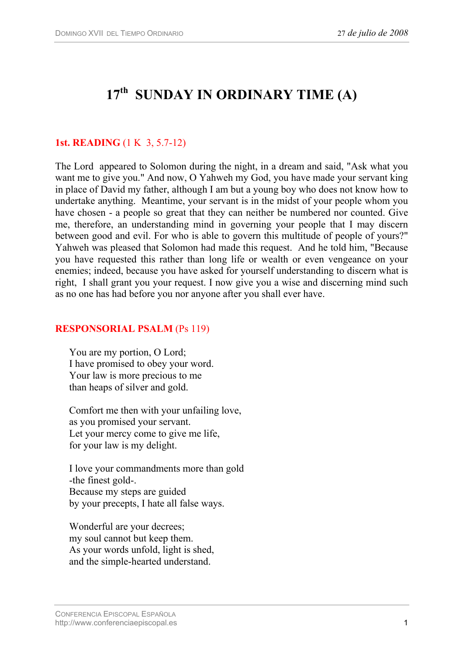# **17th SUNDAY IN ORDINARY TIME (A)**

# **1st. READING** (1 K 3, 5.7-12)

The Lord appeared to Solomon during the night, in a dream and said, "Ask what you want me to give you." And now, O Yahweh my God, you have made your servant king in place of David my father, although I am but a young boy who does not know how to undertake anything. Meantime, your servant is in the midst of your people whom you have chosen - a people so great that they can neither be numbered nor counted. Give me, therefore, an understanding mind in governing your people that I may discern between good and evil. For who is able to govern this multitude of people of yours?" Yahweh was pleased that Solomon had made this request. And he told him, "Because you have requested this rather than long life or wealth or even vengeance on your enemies; indeed, because you have asked for yourself understanding to discern what is right, I shall grant you your request. I now give you a wise and discerning mind such as no one has had before you nor anyone after you shall ever have.

## **RESPONSORIAL PSALM** (Ps 119)

You are my portion, O Lord; I have promised to obey your word. Your law is more precious to me than heaps of silver and gold.

Comfort me then with your unfailing love, as you promised your servant. Let your mercy come to give me life, for your law is my delight.

I love your commandments more than gold -the finest gold-. Because my steps are guided by your precepts, I hate all false ways.

Wonderful are your decrees; my soul cannot but keep them. As your words unfold, light is shed, and the simple-hearted understand.